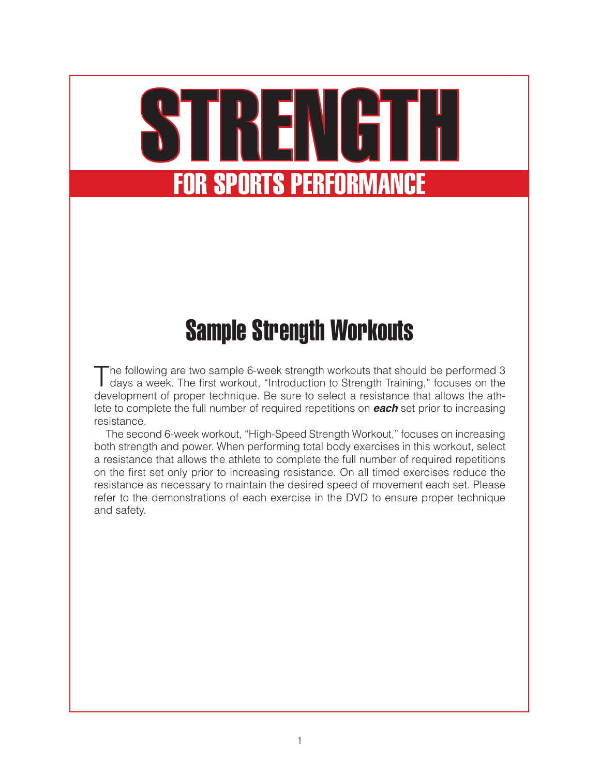# STRENGTH for Sports Performance

## Sample Strength Workouts

The following are two sample 6-week strength workouts that should be performed 3 days a week. The first workout, "Introduction to Strength Training," focuses on the development of proper technique. Be sure to select a resistance that allows the athlete to complete the full number of required repetitions on *each* set prior to increasing resistance.

The second 6-week workout, "High-Speed Strength Workout," focuses on increasing both strength and power. When performing total body exercises in this workout, select a resistance that allows the athlete to complete the full number of required repetitions on the first set only prior to increasing resistance. On all timed exercises reduce the resistance as necessary to maintain the desired speed of movement each set. Please refer to the demonstrations of each exercise in the DVD to ensure proper technique and safety.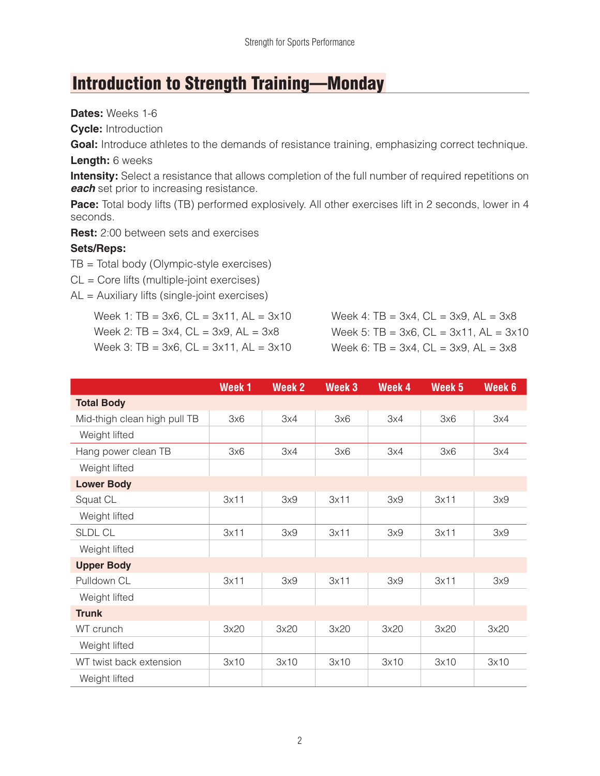## Introduction to Strength Training—Monday

**Dates:** Weeks 1-6

**Cycle:** Introduction

Goal: Introduce athletes to the demands of resistance training, emphasizing correct technique.

#### **Length:** 6 weeks

**Intensity:** Select a resistance that allows completion of the full number of required repetitions on **each** set prior to increasing resistance.

**Pace:** Total body lifts (TB) performed explosively. All other exercises lift in 2 seconds, lower in 4 seconds.

**Rest:** 2:00 between sets and exercises

#### **Sets/Reps:**

TB = Total body (Olympic-style exercises)

CL = Core lifts (multiple-joint exercises)

AL = Auxiliary lifts (single-joint exercises)

Week 1:  $TB = 3x6$ ,  $CL = 3x11$ ,  $AL = 3x10$ Week 2:  $TB = 3x4$ ,  $CL = 3x9$ ,  $AL = 3x8$ Week 3:  $TB = 3x6$ ,  $CL = 3x11$ ,  $AL = 3x10$  Week 4:  $TB = 3x4$ ,  $CL = 3x9$ ,  $AL = 3x8$ Week 5:  $TB = 3x6$ ,  $CL = 3x11$ ,  $AL = 3x10$ Week 6:  $TB = 3x4$ ,  $CL = 3x9$ ,  $AL = 3x8$ 

|                              | Week <sub>1</sub> | <b>Week 2</b> | Week <sub>3</sub> | Week 4 | Week <sub>5</sub> | Week 6 |
|------------------------------|-------------------|---------------|-------------------|--------|-------------------|--------|
| <b>Total Body</b>            |                   |               |                   |        |                   |        |
| Mid-thigh clean high pull TB | 3x6               | 3x4           | 3x6               | 3x4    | 3x6               | 3x4    |
| Weight lifted                |                   |               |                   |        |                   |        |
| Hang power clean TB          | 3x6               | 3x4           | 3x6               | 3x4    | 3x6               | 3x4    |
| Weight lifted                |                   |               |                   |        |                   |        |
| <b>Lower Body</b>            |                   |               |                   |        |                   |        |
| Squat CL                     | 3x11              | 3x9           | 3x11              | 3x9    | 3x11              | 3x9    |
| Weight lifted                |                   |               |                   |        |                   |        |
| <b>SLDL CL</b>               | 3x11              | 3x9           | 3x11              | 3x9    | 3x11              | 3x9    |
| Weight lifted                |                   |               |                   |        |                   |        |
| <b>Upper Body</b>            |                   |               |                   |        |                   |        |
| Pulldown CL                  | 3x11              | 3x9           | 3x11              | 3x9    | 3x11              | 3x9    |
| Weight lifted                |                   |               |                   |        |                   |        |
| <b>Trunk</b>                 |                   |               |                   |        |                   |        |
| WT crunch                    | 3x20              | 3x20          | 3x20              | 3x20   | 3x20              | 3x20   |
| Weight lifted                |                   |               |                   |        |                   |        |
| WT twist back extension      | 3x10              | 3x10          | 3x10              | 3x10   | 3x10              | 3x10   |
| Weight lifted                |                   |               |                   |        |                   |        |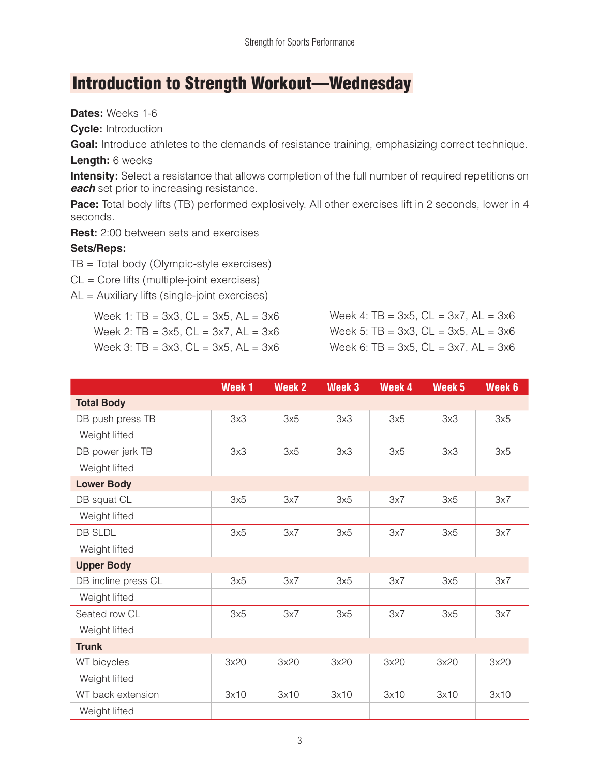## Introduction to Strength Workout—Wednesday

**Dates:** Weeks 1-6

**Cycle:** Introduction

Goal: Introduce athletes to the demands of resistance training, emphasizing correct technique.

#### **Length:** 6 weeks

**Intensity:** Select a resistance that allows completion of the full number of required repetitions on **each** set prior to increasing resistance.

**Pace:** Total body lifts (TB) performed explosively. All other exercises lift in 2 seconds, lower in 4 seconds.

**Rest:** 2:00 between sets and exercises

#### **Sets/Reps:**

TB = Total body (Olympic-style exercises)

CL = Core lifts (multiple-joint exercises)

AL = Auxiliary lifts (single-joint exercises)

Week 1:  $TB = 3x3$ ,  $CL = 3x5$ ,  $AL = 3x6$ Week 2:  $TB = 3x5$ ,  $CL = 3x7$ ,  $AL = 3x6$ Week 3:  $TB = 3x3$ ,  $CL = 3x5$ ,  $AL = 3x6$  Week 4:  $TB = 3x5$ ,  $CL = 3x7$ ,  $AL = 3x6$ Week 5:  $TB = 3x3$ ,  $CL = 3x5$ ,  $AL = 3x6$ Week 6: TB =  $3x5$ , CL =  $3x7$ , AL =  $3x6$ 

|                     | Week <sub>1</sub> | <b>Week 2</b> | Week 3 | Week 4 | Week <sub>5</sub> | Week 6 |
|---------------------|-------------------|---------------|--------|--------|-------------------|--------|
| <b>Total Body</b>   |                   |               |        |        |                   |        |
| DB push press TB    | 3x3               | 3x5           | 3x3    | 3x5    | 3x3               | 3x5    |
| Weight lifted       |                   |               |        |        |                   |        |
| DB power jerk TB    | 3x3               | 3x5           | 3x3    | 3x5    | 3x3               | 3x5    |
| Weight lifted       |                   |               |        |        |                   |        |
| <b>Lower Body</b>   |                   |               |        |        |                   |        |
| DB squat CL         | 3x5               | 3x7           | 3x5    | 3x7    | 3x5               | 3x7    |
| Weight lifted       |                   |               |        |        |                   |        |
| <b>DB SLDL</b>      | 3x5               | 3x7           | 3x5    | 3x7    | 3x5               | 3x7    |
| Weight lifted       |                   |               |        |        |                   |        |
| <b>Upper Body</b>   |                   |               |        |        |                   |        |
| DB incline press CL | 3x5               | 3x7           | 3x5    | 3x7    | 3x5               | 3x7    |
| Weight lifted       |                   |               |        |        |                   |        |
| Seated row CL       | 3x5               | 3x7           | 3x5    | 3x7    | 3x5               | 3x7    |
| Weight lifted       |                   |               |        |        |                   |        |
| <b>Trunk</b>        |                   |               |        |        |                   |        |
| WT bicycles         | 3x20              | 3x20          | 3x20   | 3x20   | 3x20              | 3x20   |
| Weight lifted       |                   |               |        |        |                   |        |
| WT back extension   | 3x10              | 3x10          | 3x10   | 3x10   | 3x10              | 3x10   |
| Weight lifted       |                   |               |        |        |                   |        |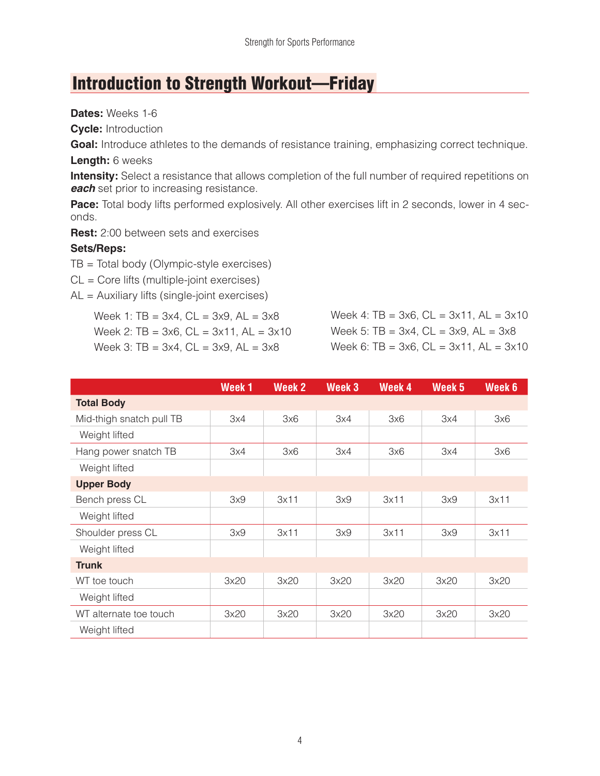## Introduction to Strength Workout—Friday

**Dates:** Weeks 1-6

**Cycle:** Introduction

Goal: Introduce athletes to the demands of resistance training, emphasizing correct technique.

#### **Length:** 6 weeks

**Intensity:** Select a resistance that allows completion of the full number of required repetitions on **each** set prior to increasing resistance.

Pace: Total body lifts performed explosively. All other exercises lift in 2 seconds, lower in 4 seconds.

**Rest:** 2:00 between sets and exercises

#### **Sets/Reps:**

TB = Total body (Olympic-style exercises)

CL = Core lifts (multiple-joint exercises)

AL = Auxiliary lifts (single-joint exercises)

Week 1:  $TB = 3x4$ ,  $CL = 3x9$ ,  $AL = 3x8$ Week 2:  $TB = 3x6$ ,  $CL = 3x11$ ,  $AL = 3x10$ Week 3:  $TB = 3x4$ ,  $CL = 3x9$ ,  $AL = 3x8$ 

Week 4:  $TB = 3x6$ ,  $CL = 3x11$ ,  $AL = 3x10$ Week 5:  $TB = 3x4$ ,  $CL = 3x9$ ,  $AL = 3x8$ Week 6: TB =  $3x6$ , CL =  $3x11$ , AL =  $3x10$ 

|                          | Week <sub>1</sub> | <b>Week 2</b> | Week <sub>3</sub> | Week 4 | Week 5 | Week 6 |
|--------------------------|-------------------|---------------|-------------------|--------|--------|--------|
| <b>Total Body</b>        |                   |               |                   |        |        |        |
| Mid-thigh snatch pull TB | 3x4               | 3x6           | 3x4               | 3x6    | 3x4    | 3x6    |
| Weight lifted            |                   |               |                   |        |        |        |
| Hang power snatch TB     | 3x4               | 3x6           | 3x4               | 3x6    | 3x4    | 3x6    |
| Weight lifted            |                   |               |                   |        |        |        |
| <b>Upper Body</b>        |                   |               |                   |        |        |        |
| Bench press CL           | 3x9               | 3x11          | 3x9               | 3x11   | 3x9    | 3x11   |
| Weight lifted            |                   |               |                   |        |        |        |
| Shoulder press CL        | 3x9               | 3x11          | 3x9               | 3x11   | 3x9    | 3x11   |
| Weight lifted            |                   |               |                   |        |        |        |
| <b>Trunk</b>             |                   |               |                   |        |        |        |
| WT toe touch             | 3x20              | 3x20          | 3x20              | 3x20   | 3x20   | 3x20   |
| Weight lifted            |                   |               |                   |        |        |        |
| WT alternate toe touch   | 3x20              | 3x20          | 3x20              | 3x20   | 3x20   | 3x20   |
| Weight lifted            |                   |               |                   |        |        |        |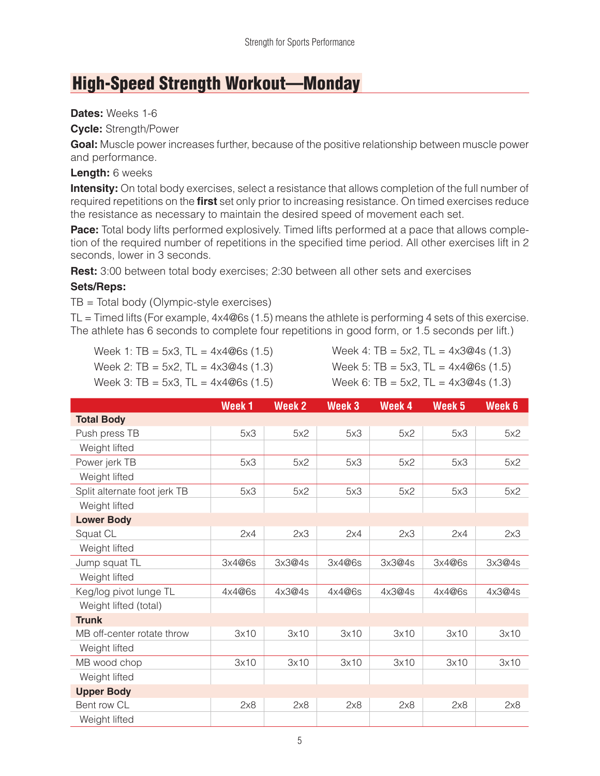## High-Speed Strength Workout—Monday

#### **Dates:** Weeks 1-6

**Cycle:** Strength/Power

**Goal:** Muscle power increases further, because of the positive relationship between muscle power and performance.

#### **Length:** 6 weeks

**Intensity:** On total body exercises, select a resistance that allows completion of the full number of required repetitions on the **first** set only prior to increasing resistance. On timed exercises reduce the resistance as necessary to maintain the desired speed of movement each set.

**Pace:** Total body lifts performed explosively. Timed lifts performed at a pace that allows completion of the required number of repetitions in the specified time period. All other exercises lift in 2 seconds, lower in 3 seconds.

**Rest:** 3:00 between total body exercises; 2:30 between all other sets and exercises

#### **Sets/Reps:**

TB = Total body (Olympic-style exercises)

 $TL = Timed$  lifts (For example,  $4x4@6s$  (1.5) means the athlete is performing 4 sets of this exercise. The athlete has 6 seconds to complete four repetitions in good form, or 1.5 seconds per lift.)

|  |  | Week 1: TB = $5x3$ , TL = $4x4@6s$ (1.5) |  |
|--|--|------------------------------------------|--|
|  |  | Week 2: TB = $5x2$ , TL = $4x3@4s$ (1.3) |  |
|  |  |                                          |  |

```
Week 4: TB = 5x2, TL = 4x3@4s (1.3)
```
Week 5: TB =  $5x3$ , TL =  $4x4@6s$  (1.5)

Week 3: TB = 5x3, TL =  $4x4@6s$  (1.5)

| Week 6: TB = 5x2, TL = $4x3@4s(1.3)$ |  |
|--------------------------------------|--|
|--------------------------------------|--|

|                              | Week <sub>1</sub> | <b>Week 2</b> | Week 3 | Week 4 | Week <sub>5</sub> | Week 6 |
|------------------------------|-------------------|---------------|--------|--------|-------------------|--------|
| <b>Total Body</b>            |                   |               |        |        |                   |        |
| Push press TB                | 5x3               | 5x2           | 5x3    | 5x2    | 5x3               | 5x2    |
| Weight lifted                |                   |               |        |        |                   |        |
| Power jerk TB                | 5x3               | 5x2           | 5x3    | 5x2    | 5x3               | 5x2    |
| Weight lifted                |                   |               |        |        |                   |        |
| Split alternate foot jerk TB | 5x3               | 5x2           | 5x3    | 5x2    | 5x3               | 5x2    |
| Weight lifted                |                   |               |        |        |                   |        |
| <b>Lower Body</b>            |                   |               |        |        |                   |        |
| Squat CL                     | 2x4               | 2x3           | 2x4    | 2x3    | 2x4               | 2x3    |
| Weight lifted                |                   |               |        |        |                   |        |
| Jump squat TL                | 3x4@6s            | 3x3@4s        | 3x4@6s | 3x3@4s | 3x4@6s            | 3x3@4s |
| Weight lifted                |                   |               |        |        |                   |        |
| Keg/log pivot lunge TL       | 4x4@6s            | 4x3@4s        | 4x4@6s | 4x3@4s | 4x4@6s            | 4x3@4s |
| Weight lifted (total)        |                   |               |        |        |                   |        |
| <b>Trunk</b>                 |                   |               |        |        |                   |        |
| MB off-center rotate throw   | 3x10              | 3x10          | 3x10   | 3x10   | 3x10              | 3x10   |
| Weight lifted                |                   |               |        |        |                   |        |
| MB wood chop                 | 3x10              | 3x10          | 3x10   | 3x10   | 3x10              | 3x10   |
| Weight lifted                |                   |               |        |        |                   |        |
| <b>Upper Body</b>            |                   |               |        |        |                   |        |
| Bent row CL                  | 2x8               | 2x8           | 2x8    | 2x8    | 2x8               | 2x8    |
| Weight lifted                |                   |               |        |        |                   |        |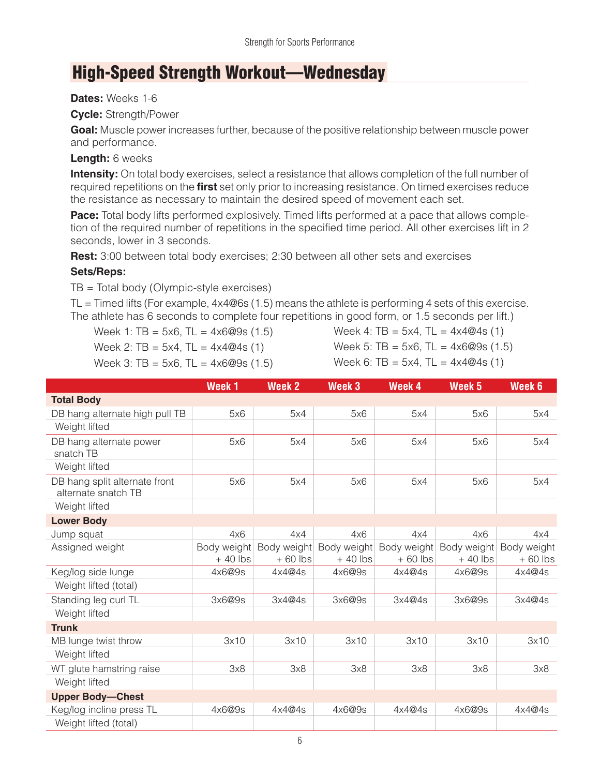### High-Speed Strength Workout—Wednesday

#### **Dates:** Weeks 1-6

#### **Cycle:** Strength/Power

**Goal:** Muscle power increases further, because of the positive relationship between muscle power and performance.

#### **Length:** 6 weeks

**Intensity:** On total body exercises, select a resistance that allows completion of the full number of required repetitions on the **first** set only prior to increasing resistance. On timed exercises reduce the resistance as necessary to maintain the desired speed of movement each set.

**Pace:** Total body lifts performed explosively. Timed lifts performed at a pace that allows completion of the required number of repetitions in the specified time period. All other exercises lift in 2 seconds, lower in 3 seconds.

**Rest:** 3:00 between total body exercises; 2:30 between all other sets and exercises

#### **Sets/Reps:**

TB = Total body (Olympic-style exercises)

 $TL = Timed$  lifts (For example,  $4x4@6s$  (1.5) means the athlete is performing 4 sets of this exercise. The athlete has 6 seconds to complete four repetitions in good form, or 1.5 seconds per lift.)

Week 1: TB =  $5x6$ , TL =  $4x6@9s$  (1.5)

Week 2:  $TB = 5x4$ ,  $TL = 4x4@4s(1)$ Week 3: TB =  $5x6$ , TL =  $4x6@9s$  (1.5) Week 4:  $TB = 5x4$ ,  $TL = 4x4@4s$  (1) Week 5: TB =  $5x6$ , TL =  $4x6@9s$  (1.5)

Week 6: TB =  $5x4$ , TL =  $4x4@4s$  (1)

|                                                      | Week <sub>1</sub>        | <b>Week 2</b>            | Week 3                   | Week 4                   | Week <sub>5</sub>        | Week 6                   |
|------------------------------------------------------|--------------------------|--------------------------|--------------------------|--------------------------|--------------------------|--------------------------|
| <b>Total Body</b>                                    |                          |                          |                          |                          |                          |                          |
| DB hang alternate high pull TB                       | 5x6                      | 5x4                      | 5x6                      | 5x4                      | 5x6                      | 5x4                      |
| Weight lifted                                        |                          |                          |                          |                          |                          |                          |
| DB hang alternate power<br>snatch TB                 | 5x6                      | 5x4                      | 5x6                      | 5x4                      | 5x6                      | 5x4                      |
| Weight lifted                                        |                          |                          |                          |                          |                          |                          |
| DB hang split alternate front<br>alternate snatch TB | 5x6                      | 5x4                      | 5x6                      | 5x4                      | 5x6                      | 5x4                      |
| Weight lifted                                        |                          |                          |                          |                          |                          |                          |
| <b>Lower Body</b>                                    |                          |                          |                          |                          |                          |                          |
| Jump squat                                           | 4x6                      | 4x4                      | 4x6                      | 4x4                      | 4x6                      | 4x4                      |
| Assigned weight                                      | Body weight<br>$+40$ lbs | Body weight<br>$+60$ lbs | Body weight<br>$+40$ lbs | Body weight<br>$+60$ lbs | Body weight<br>$+40$ lbs | Body weight<br>$+60$ lbs |
| Keg/log side lunge                                   | 4x6@9s                   | 4x4@4s                   | 4x6@9s                   | 4x4@4s                   | 4x6@9s                   | 4x4@4s                   |
| Weight lifted (total)                                |                          |                          |                          |                          |                          |                          |
| Standing leg curl TL                                 | 3x6@9s                   | 3x4@4s                   | 3x6@9s                   | 3x4@4s                   | 3x6@9s                   | 3x4@4s                   |
| Weight lifted                                        |                          |                          |                          |                          |                          |                          |
| <b>Trunk</b>                                         |                          |                          |                          |                          |                          |                          |
| MB lunge twist throw                                 | 3x10                     | 3x10                     | 3x10                     | 3x10                     | 3x10                     | 3x10                     |
| Weight lifted                                        |                          |                          |                          |                          |                          |                          |
| WT glute hamstring raise                             | 3x8                      | 3x8                      | 3x8                      | 3x8                      | 3x8                      | 3x8                      |
| Weight lifted                                        |                          |                          |                          |                          |                          |                          |
| <b>Upper Body-Chest</b>                              |                          |                          |                          |                          |                          |                          |
| Keg/log incline press TL                             | 4x6@9s                   | 4x4@4s                   | 4x6@9s                   | 4x4@4s                   | 4x6@9s                   | 4x4@4s                   |
| Weight lifted (total)                                |                          |                          |                          |                          |                          |                          |